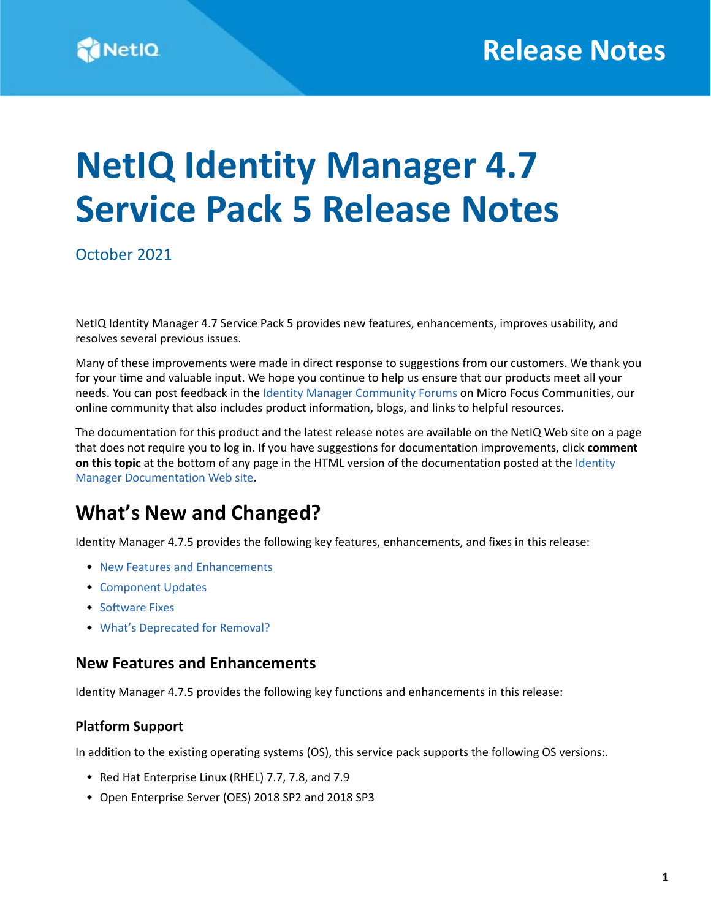# **NetIQ Identity Manager 4.7 Service Pack 5 Release Notes**

October 2021

NetIQ Identity Manager 4.7 Service Pack 5 provides new features, enhancements, improves usability, and resolves several previous issues.

Many of these improvements were made in direct response to suggestions from our customers. We thank you for your time and valuable input. We hope you continue to help us ensure that our products meet all your needs. You can post feedback in the [Identity Manager Community Forums](https://community.microfocus.com/t5/Identity-Manager/ct-p/IDM) on Micro Focus Communities, our online community that also includes product information, blogs, and links to helpful resources.

The documentation for this product and the latest release notes are available on the NetIQ Web site on a page that does not require you to log in. If you have suggestions for documentation improvements, click **comment on this topic** at the bottom of any page in the HTML version of the documentation posted at the [Identity](https://www.netiq.com/documentation/identity-manager-47/)  [Manager Documentation Web site](https://www.netiq.com/documentation/identity-manager-47/).

# **What's New and Changed?**

Identity Manager 4.7.5 provides the following key features, enhancements, and fixes in this release:

- [New Features and Enhancements](#page-0-0)
- **[Component Updates](#page-1-0)**
- [Software Fixes](#page-1-1)
- [What's Deprecated for Removal?](#page-3-0)

# <span id="page-0-0"></span>**New Features and Enhancements**

Identity Manager 4.7.5 provides the following key functions and enhancements in this release:

# **Platform Support**

In addition to the existing operating systems (OS), this service pack supports the following OS versions:.

- Red Hat Enterprise Linux (RHEL) 7.7, 7.8, and 7.9
- Open Enterprise Server (OES) 2018 SP2 and 2018 SP3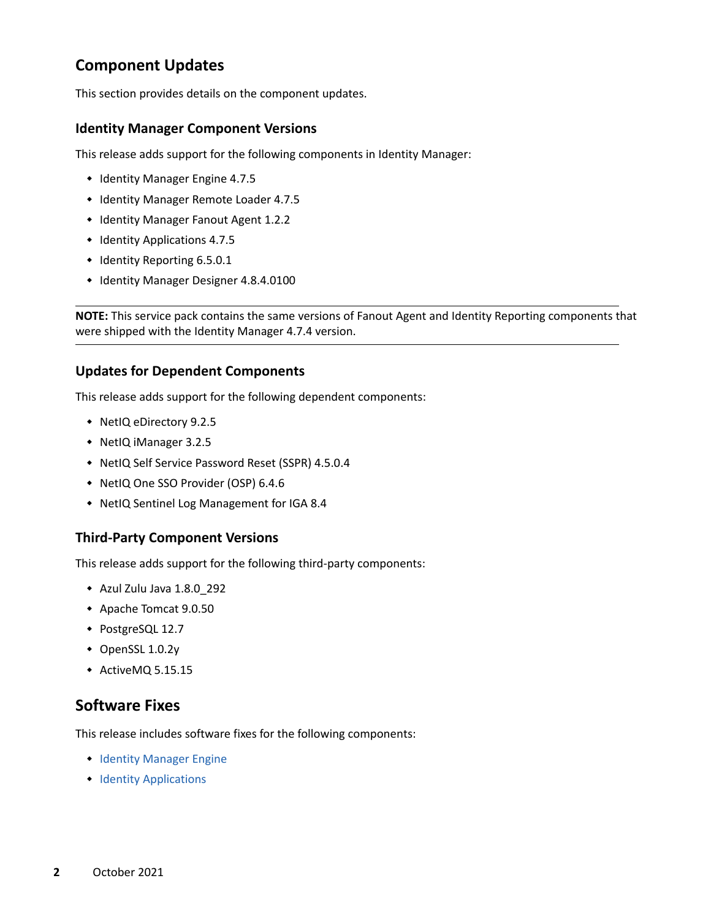# <span id="page-1-0"></span>**Component Updates**

This section provides details on the component updates.

### **Identity Manager Component Versions**

This release adds support for the following components in Identity Manager:

- Identity Manager Engine 4.7.5
- Identity Manager Remote Loader 4.7.5
- Identity Manager Fanout Agent 1.2.2
- Identity Applications 4.7.5
- Identity Reporting 6.5.0.1
- Identity Manager Designer 4.8.4.0100

**NOTE:** This service pack contains the same versions of Fanout Agent and Identity Reporting components that were shipped with the Identity Manager 4.7.4 version.

# **Updates for Dependent Components**

This release adds support for the following dependent components:

- ◆ NetIQ eDirectory 9.2.5
- NetIQ iManager 3.2.5
- NetIQ Self Service Password Reset (SSPR) 4.5.0.4
- ◆ NetIQ One SSO Provider (OSP) 6.4.6
- NetIQ Sentinel Log Management for IGA 8.4

# **Third-Party Component Versions**

This release adds support for the following third-party components:

- $\triangleleft$  Azul Zulu Java 1.8.0 292
- Apache Tomcat 9.0.50
- PostgreSQL 12.7
- OpenSSL 1.0.2y
- $\triangleleft$  ActiveMQ 5.15.15

# <span id="page-1-1"></span>**Software Fixes**

This release includes software fixes for the following components:

- **[Identity Manager Engine](#page-2-0)**
- **[Identity Applications](#page-2-1)**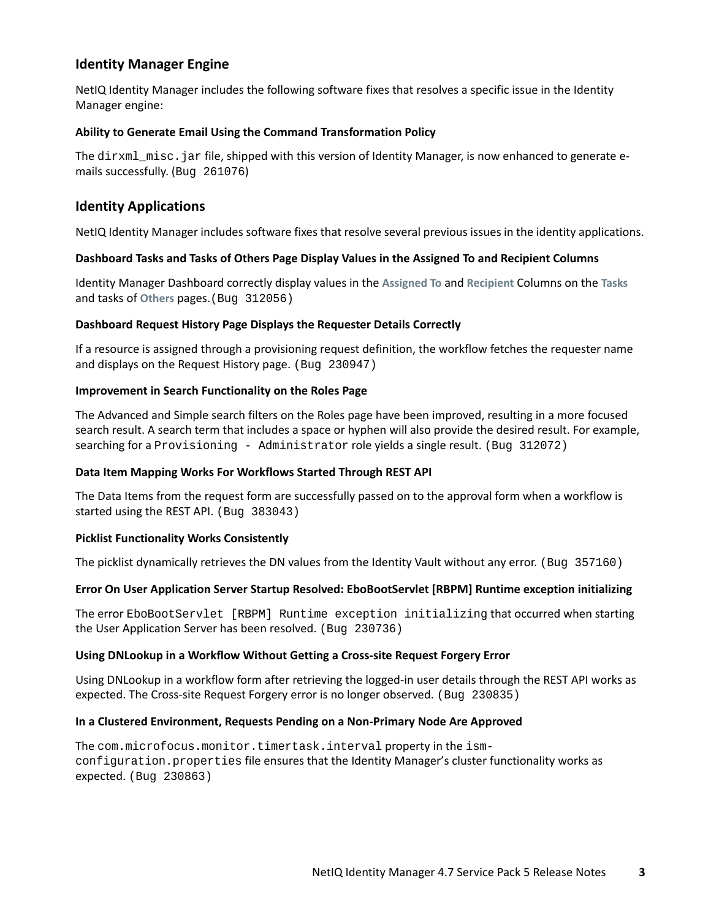# <span id="page-2-0"></span>**Identity Manager Engine**

NetIQ Identity Manager includes the following software fixes that resolves a specific issue in the Identity Manager engine:

#### **Ability to Generate Email Using the Command Transformation Policy**

The  $\text{d}$ i $\text{r}$  misc.  $\text{j}$ ar file, shipped with this version of Identity Manager, is now enhanced to generate emails successfully. (Bug 261076)

#### <span id="page-2-1"></span>**Identity Applications**

NetIQ Identity Manager includes software fixes that resolve several previous issues in the identity applications.

#### **Dashboard Tasks and Tasks of Others Page Display Values in the Assigned To and Recipient Columns**

Identity Manager Dashboard correctly display values in the **Assigned To** and **Recipient** Columns on the **Tasks** and tasks of **Others** pages.(Bug 312056)

#### **Dashboard Request History Page Displays the Requester Details Correctly**

If a resource is assigned through a provisioning request definition, the workflow fetches the requester name and displays on the Request History page. (Bug 230947)

#### **Improvement in Search Functionality on the Roles Page**

The Advanced and Simple search filters on the Roles page have been improved, resulting in a more focused search result. A search term that includes a space or hyphen will also provide the desired result. For example, searching for a Provisioning - Administrator role yields a single result. (Bug 312072)

#### **Data Item Mapping Works For Workflows Started Through REST API**

The Data Items from the request form are successfully passed on to the approval form when a workflow is started using the REST API. (Bug 383043)

#### **Picklist Functionality Works Consistently**

The picklist dynamically retrieves the DN values from the Identity Vault without any error. (Bug 357160)

#### **Error On User Application Server Startup Resolved: EboBootServlet [RBPM] Runtime exception initializing**

The error EboBootServlet [RBPM] Runtime exception initializing that occurred when starting the User Application Server has been resolved. (Bug 230736)

#### **Using DNLookup in a Workflow Without Getting a Cross-site Request Forgery Error**

Using DNLookup in a workflow form after retrieving the logged-in user details through the REST API works as expected. The Cross-site Request Forgery error is no longer observed. (Bug 230835)

#### **In a Clustered Environment, Requests Pending on a Non-Primary Node Are Approved**

The com.microfocus.monitor.timertask.interval property in the ismconfiguration.properties file ensures that the Identity Manager's cluster functionality works as expected. (Bug 230863)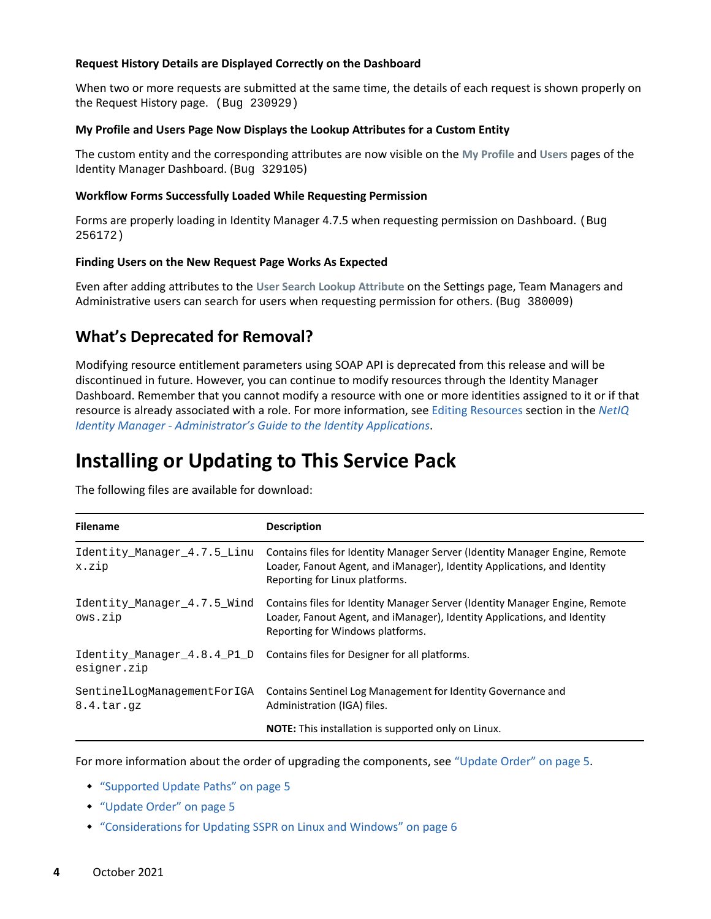#### **Request History Details are Displayed Correctly on the Dashboard**

When two or more requests are submitted at the same time, the details of each request is shown properly on the Request History page. (Bug 230929)

#### **My Profile and Users Page Now Displays the Lookup Attributes for a Custom Entity**

The custom entity and the corresponding attributes are now visible on the **My Profile** and **Users** pages of the Identity Manager Dashboard. (Bug 329105)

#### **Workflow Forms Successfully Loaded While Requesting Permission**

Forms are properly loading in Identity Manager 4.7.5 when requesting permission on Dashboard. (Bug 256172)

#### **Finding Users on the New Request Page Works As Expected**

Even after adding attributes to the **User Search Lookup Attribute** on the Settings page, Team Managers and Administrative users can search for users when requesting permission for others. (Bug 380009)

# <span id="page-3-0"></span>**What's Deprecated for Removal?**

Modifying resource entitlement parameters using SOAP API is deprecated from this release and will be discontinued in future. However, you can continue to modify resources through the Identity Manager Dashboard. Remember that you cannot modify a resource with one or more identities assigned to it or if that resource is already associated with a role. For more information, see [Editing Resources](https://www.netiq.com/documentation/identity-manager-47/pdfdoc/identity_apps_admin/identity_apps_admin.pdf#netiqidentitymanagereditresourcesidentityapplications) section in the *[NetIQ](https://www.netiq.com/documentation/identity-manager-47/pdfdoc/identity_apps_admin/identity_apps_admin.pdf#bookinfo)  [Identity Manager - Administrator's Guide to the Identity Applications](https://www.netiq.com/documentation/identity-manager-47/pdfdoc/identity_apps_admin/identity_apps_admin.pdf#bookinfo)*.

# **Installing or Updating to This Service Pack**

The following files are available for download:

| <b>Filename</b>                              | <b>Description</b>                                                                                                                                                                          |  |
|----------------------------------------------|---------------------------------------------------------------------------------------------------------------------------------------------------------------------------------------------|--|
| Identity_Manager_4.7.5_Linu<br>x.zip         | Contains files for Identity Manager Server (Identity Manager Engine, Remote<br>Loader, Fanout Agent, and iManager), Identity Applications, and Identity<br>Reporting for Linux platforms.   |  |
| Identity Manager 4.7.5 Wind<br>ows.zip       | Contains files for Identity Manager Server (Identity Manager Engine, Remote<br>Loader, Fanout Agent, and iManager), Identity Applications, and Identity<br>Reporting for Windows platforms. |  |
| esigner.zip                                  | Identity_Manager_4.8.4_P1_D Contains files for Designer for all platforms.                                                                                                                  |  |
| SentinelLogManagementForIGA<br>$8.4.$ tar.qz | Contains Sentinel Log Management for Identity Governance and<br>Administration (IGA) files.                                                                                                 |  |
|                                              | <b>NOTE:</b> This installation is supported only on Linux.                                                                                                                                  |  |

For more information about the order of upgrading the components, see ["Update Order" on page 5](#page-4-1).

- ["Supported Update Paths" on page 5](#page-4-0)
- ["Update Order" on page 5](#page-4-1)
- ["Considerations for Updating SSPR on Linux and Windows" on page](#page-5-0) 6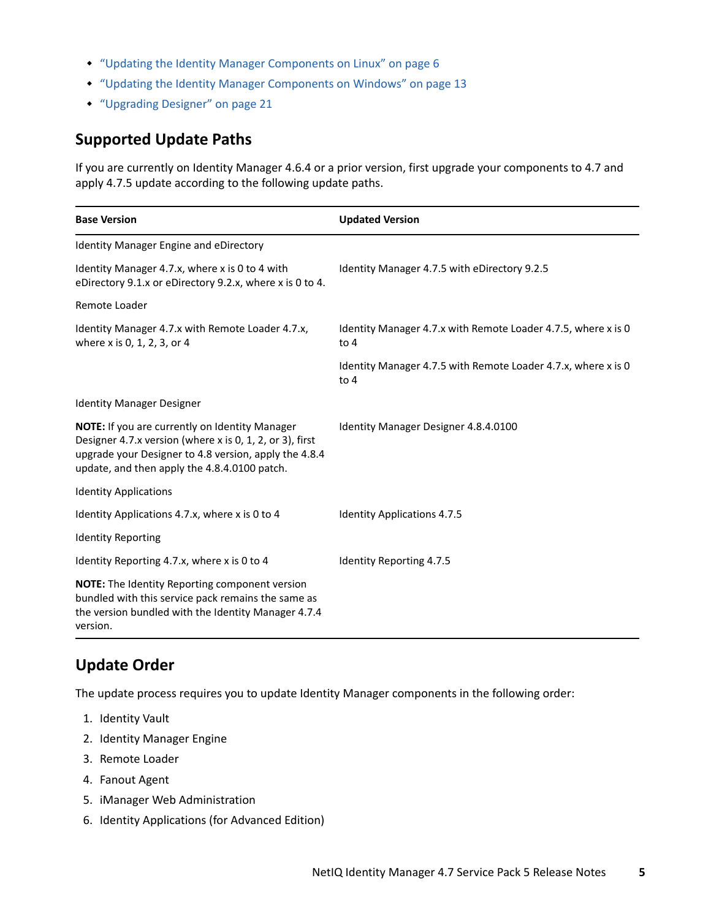- ["Updating the Identity Manager Components on Linux" on page 6](#page-5-1)
- ["Updating the Identity Manager Components on Windows" on page 13](#page-12-0)
- ["Upgrading Designer" on page 21](#page-20-0)

# <span id="page-4-0"></span>**Supported Update Paths**

If you are currently on Identity Manager 4.6.4 or a prior version, first upgrade your components to 4.7 and apply 4.7.5 update according to the following update paths.

| <b>Base Version</b>                                                                                                                                                                                                        | <b>Updated Version</b>                                                  |
|----------------------------------------------------------------------------------------------------------------------------------------------------------------------------------------------------------------------------|-------------------------------------------------------------------------|
| Identity Manager Engine and eDirectory                                                                                                                                                                                     |                                                                         |
| Identity Manager 4.7.x, where x is 0 to 4 with<br>eDirectory 9.1.x or eDirectory 9.2.x, where x is 0 to 4.                                                                                                                 | Identity Manager 4.7.5 with eDirectory 9.2.5                            |
| Remote Loader                                                                                                                                                                                                              |                                                                         |
| Identity Manager 4.7.x with Remote Loader 4.7.x,<br>where x is 0, 1, 2, 3, or 4                                                                                                                                            | Identity Manager 4.7.x with Remote Loader 4.7.5, where x is 0<br>to $4$ |
|                                                                                                                                                                                                                            | Identity Manager 4.7.5 with Remote Loader 4.7.x, where x is 0<br>to $4$ |
| <b>Identity Manager Designer</b>                                                                                                                                                                                           |                                                                         |
| <b>NOTE:</b> If you are currently on Identity Manager<br>Designer 4.7.x version (where x is 0, 1, 2, or 3), first<br>upgrade your Designer to 4.8 version, apply the 4.8.4<br>update, and then apply the 4.8.4.0100 patch. | Identity Manager Designer 4.8.4.0100                                    |
| <b>Identity Applications</b>                                                                                                                                                                                               |                                                                         |
| Identity Applications 4.7.x, where x is 0 to 4                                                                                                                                                                             | <b>Identity Applications 4.7.5</b>                                      |
| <b>Identity Reporting</b>                                                                                                                                                                                                  |                                                                         |
| Identity Reporting 4.7.x, where x is 0 to 4                                                                                                                                                                                | Identity Reporting 4.7.5                                                |
| NOTE: The Identity Reporting component version<br>bundled with this service pack remains the same as<br>the version bundled with the Identity Manager 4.7.4<br>version.                                                    |                                                                         |

# <span id="page-4-1"></span>**Update Order**

The update process requires you to update Identity Manager components in the following order:

- 1. Identity Vault
- 2. Identity Manager Engine
- 3. Remote Loader
- 4. Fanout Agent
- 5. iManager Web Administration
- 6. Identity Applications (for Advanced Edition)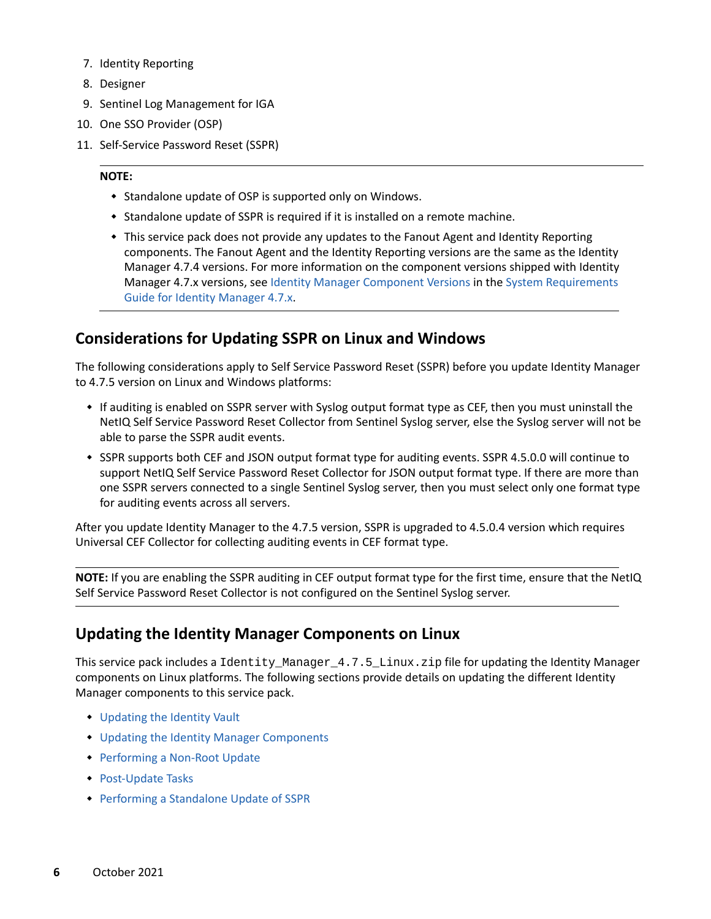- 7. Identity Reporting
- 8. Designer
- 9. Sentinel Log Management for IGA
- 10. One SSO Provider (OSP)
- 11. Self-Service Password Reset (SSPR)

#### **NOTE:**

- Standalone update of OSP is supported only on Windows.
- Standalone update of SSPR is required if it is installed on a remote machine.
- This service pack does not provide any updates to the Fanout Agent and Identity Reporting components. The Fanout Agent and the Identity Reporting versions are the same as the Identity Manager 4.7.4 versions. For more information on the component versions shipped with Identity Manager 4.7.x versions, see [Identity Manager Component Versions](https://www.netiq.com/documentation/identity-manager-47/pdfdoc/system-requirements-identity-manager-47x/system-requirements-identity-manager-47x.pdf#identitymanagercomponentsversions) in the [System Requirements](https://www.netiq.com/documentation/identity-manager-47/pdfdoc/system-requirements-identity-manager-47x/system-requirements-identity-manager-47x.pdf#systemrequirementsforidentitymanager47components)  [Guide for Identity Manager 4.7.x](https://www.netiq.com/documentation/identity-manager-47/pdfdoc/system-requirements-identity-manager-47x/system-requirements-identity-manager-47x.pdf#systemrequirementsforidentitymanager47components).

# <span id="page-5-0"></span>**Considerations for Updating SSPR on Linux and Windows**

The following considerations apply to Self Service Password Reset (SSPR) before you update Identity Manager to 4.7.5 version on Linux and Windows platforms:

- If auditing is enabled on SSPR server with Syslog output format type as CEF, then you must uninstall the NetIQ Self Service Password Reset Collector from Sentinel Syslog server, else the Syslog server will not be able to parse the SSPR audit events.
- SSPR supports both CEF and JSON output format type for auditing events. SSPR 4.5.0.0 will continue to support NetIQ Self Service Password Reset Collector for JSON output format type. If there are more than one SSPR servers connected to a single Sentinel Syslog server, then you must select only one format type for auditing events across all servers.

After you update Identity Manager to the 4.7.5 version, SSPR is upgraded to 4.5.0.4 version which requires Universal CEF Collector for collecting auditing events in CEF format type.

**NOTE:** If you are enabling the SSPR auditing in CEF output format type for the first time, ensure that the NetIQ Self Service Password Reset Collector is not configured on the Sentinel Syslog server.

# <span id="page-5-1"></span>**Updating the Identity Manager Components on Linux**

This service pack includes a Identity\_Manager\_4.7.5\_Linux.zip file for updating the Identity Manager components on Linux platforms. The following sections provide details on updating the different Identity Manager components to this service pack.

- [Updating the Identity Vault](#page-6-0)
- [Updating the Identity Manager Components](#page-6-1)
- [Performing a Non-Root Update](#page-8-0)
- [Post-Update Tasks](#page-9-0)
- [Performing a Standalone Update of SSPR](#page-10-0)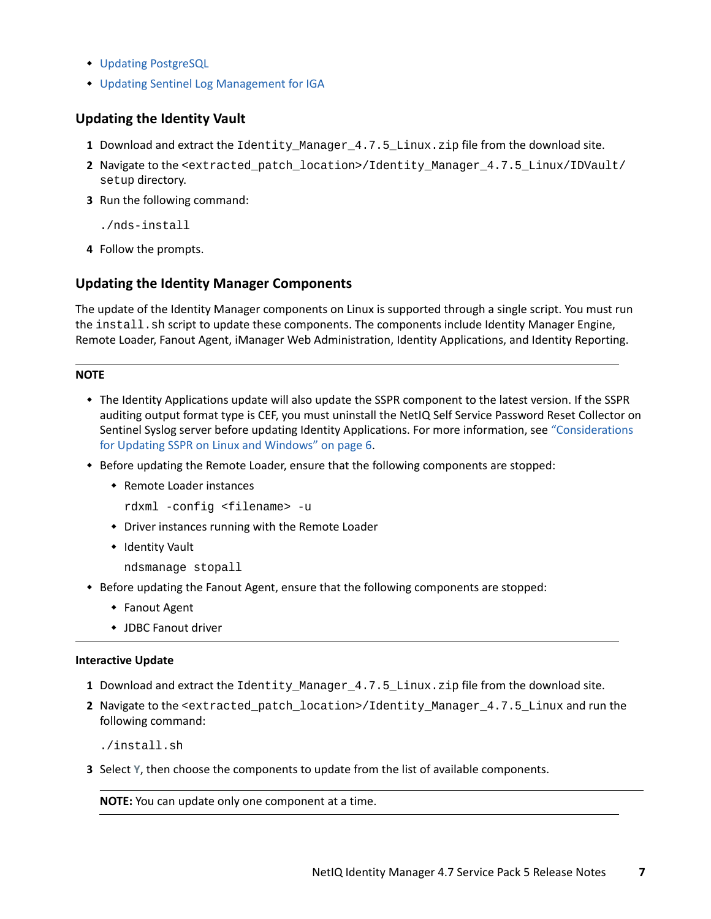- [Updating PostgreSQL](#page-10-1)
- [Updating Sentinel Log Management for IGA](#page-11-0)

# <span id="page-6-0"></span>**Updating the Identity Vault**

- **1** Download and extract the Identity\_Manager\_4.7.5\_Linux.zip file from the download site.
- **2** Navigate to the <extracted\_patch\_location>/Identity\_Manager\_4.7.5\_Linux/IDVault/ setup directory.
- **3** Run the following command:

./nds-install

**4** Follow the prompts.

#### <span id="page-6-1"></span>**Updating the Identity Manager Components**

The update of the Identity Manager components on Linux is supported through a single script. You must run the install.sh script to update these components. The components include Identity Manager Engine, Remote Loader, Fanout Agent, iManager Web Administration, Identity Applications, and Identity Reporting.

#### **NOTE**

- The Identity Applications update will also update the SSPR component to the latest version. If the SSPR auditing output format type is CEF, you must uninstall the NetIQ Self Service Password Reset Collector on Sentinel Syslog server before updating Identity Applications. For more information, see ["Considerations](#page-5-0)  [for Updating SSPR on Linux and Windows" on page 6](#page-5-0).
- Before updating the Remote Loader, ensure that the following components are stopped:
	- Remote Loader instances

rdxml -config <filename> -u

- Driver instances running with the Remote Loader
- Identity Vault

ndsmanage stopall

- Before updating the Fanout Agent, ensure that the following components are stopped:
	- Fanout Agent
	- JDBC Fanout driver

#### **Interactive Update**

- **1** Download and extract the Identity Manager 4.7.5 Linux.zip file from the download site.
- **2** Navigate to the <extracted\_patch\_location>/Identity\_Manager\_4.7.5\_Linux and run the following command:

./install.sh

**3** Select **Y**, then choose the components to update from the list of available components.

**NOTE:** You can update only one component at a time.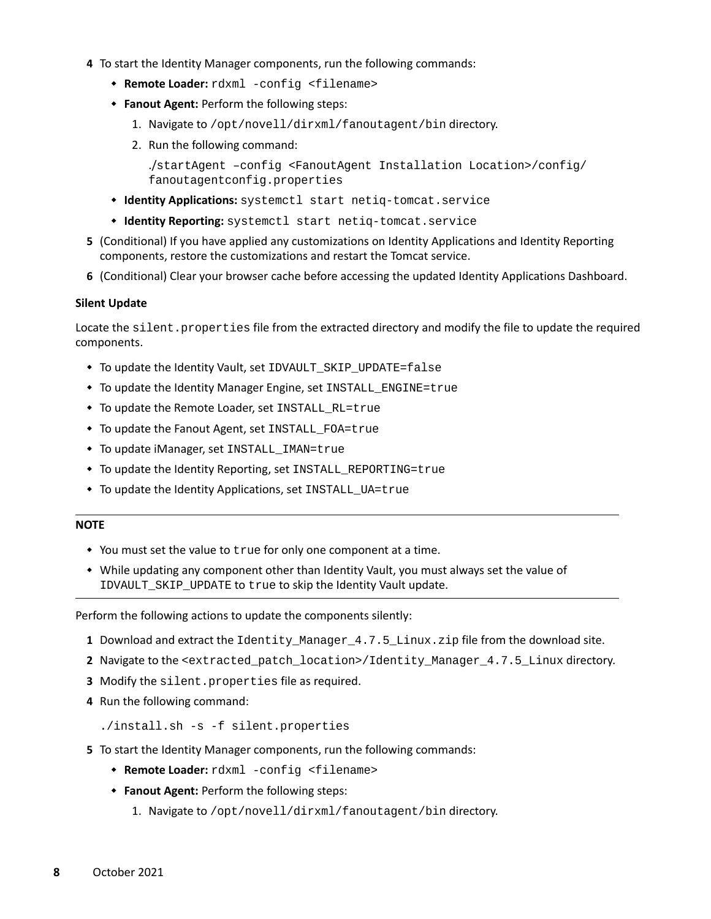- **4** To start the Identity Manager components, run the following commands:
	- **Remote Loader:** rdxml -config <filename>
	- **Fanout Agent:** Perform the following steps:
		- 1. Navigate to /opt/novell/dirxml/fanoutagent/bin directory.
		- 2. Run the following command:

./startAgent –config <FanoutAgent Installation Location>/config/ fanoutagentconfig.properties

- **Identity Applications:** systemctl start netiq-tomcat.service
- **Identity Reporting:** systemctl start netiq-tomcat.service
- **5** (Conditional) If you have applied any customizations on Identity Applications and Identity Reporting components, restore the customizations and restart the Tomcat service.
- **6** (Conditional) Clear your browser cache before accessing the updated Identity Applications Dashboard.

#### **Silent Update**

Locate the silent. properties file from the extracted directory and modify the file to update the required components.

- To update the Identity Vault, set IDVAULT SKIP UPDATE=false
- To update the Identity Manager Engine, set INSTALL\_ENGINE=true
- To update the Remote Loader, set INSTALL\_RL=true
- To update the Fanout Agent, set INSTALL FOA=true
- To update iManager, set INSTALL\_IMAN=true
- To update the Identity Reporting, set INSTALL\_REPORTING=true
- To update the Identity Applications, set INSTALL UA=true

#### **NOTE**

- You must set the value to true for only one component at a time.
- While updating any component other than Identity Vault, you must always set the value of IDVAULT\_SKIP\_UPDATE to true to skip the Identity Vault update.

Perform the following actions to update the components silently:

- **1** Download and extract the Identity\_Manager\_4.7.5\_Linux.zip file from the download site.
- **2** Navigate to the <extracted\_patch\_location>/Identity\_Manager\_4.7.5\_Linux directory.
- **3** Modify the silent.properties file as required.
- **4** Run the following command:

./install.sh -s -f silent.properties

- **5** To start the Identity Manager components, run the following commands:
	- **Remote Loader:** rdxml -config <filename>
	- **Fanout Agent:** Perform the following steps:
		- 1. Navigate to /opt/novell/dirxml/fanoutagent/bin directory.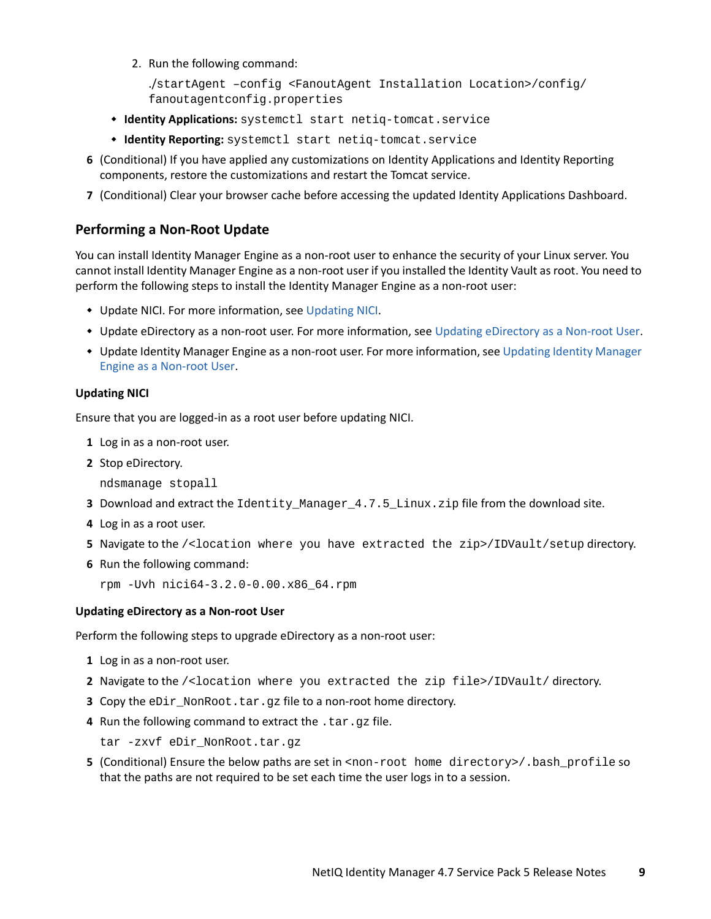2. Run the following command:

./startAgent –config <FanoutAgent Installation Location>/config/ fanoutagentconfig.properties

- **Identity Applications:** systemctl start netiq-tomcat.service
- **Identity Reporting:** systemctl start netiq-tomcat.service
- **6** (Conditional) If you have applied any customizations on Identity Applications and Identity Reporting components, restore the customizations and restart the Tomcat service.
- **7** (Conditional) Clear your browser cache before accessing the updated Identity Applications Dashboard.

# <span id="page-8-0"></span>**Performing a Non-Root Update**

You can install Identity Manager Engine as a non-root user to enhance the security of your Linux server. You cannot install Identity Manager Engine as a non-root user if you installed the Identity Vault as root. You need to perform the following steps to install the Identity Manager Engine as a non-root user:

- Update NICI. For more information, see [Updating NICI.](#page-8-1)
- Update eDirectory as a non-root user. For more information, see [Updating eDirectory as a Non-root User](#page-8-2).
- Update Identity Manager Engine as a non-root user. For more information, see Updating Identity Manager [Engine as a Non-root User](#page-9-1).

#### <span id="page-8-1"></span>**Updating NICI**

Ensure that you are logged-in as a root user before updating NICI.

- **1** Log in as a non-root user.
- **2** Stop eDirectory.

```
ndsmanage stopall
```
- **3** Download and extract the Identity\_Manager\_4.7.5\_Linux.zip file from the download site.
- **4** Log in as a root user.
- **5** Navigate to the /<location where you have extracted the zip>/IDVault/setup directory.
- **6** Run the following command:

rpm -Uvh nici64-3.2.0-0.00.x86\_64.rpm

#### <span id="page-8-2"></span>**Updating eDirectory as a Non-root User**

Perform the following steps to upgrade eDirectory as a non-root user:

- **1** Log in as a non-root user.
- **2** Navigate to the /<location where you extracted the zip file>/IDVault/ directory.
- **3** Copy the eDir\_NonRoot.tar.gz file to a non-root home directory.
- **4** Run the following command to extract the .tar.gz file.

tar -zxvf eDir\_NonRoot.tar.gz

**5** (Conditional) Ensure the below paths are set in <non-root home directory>/.bash profile so that the paths are not required to be set each time the user logs in to a session.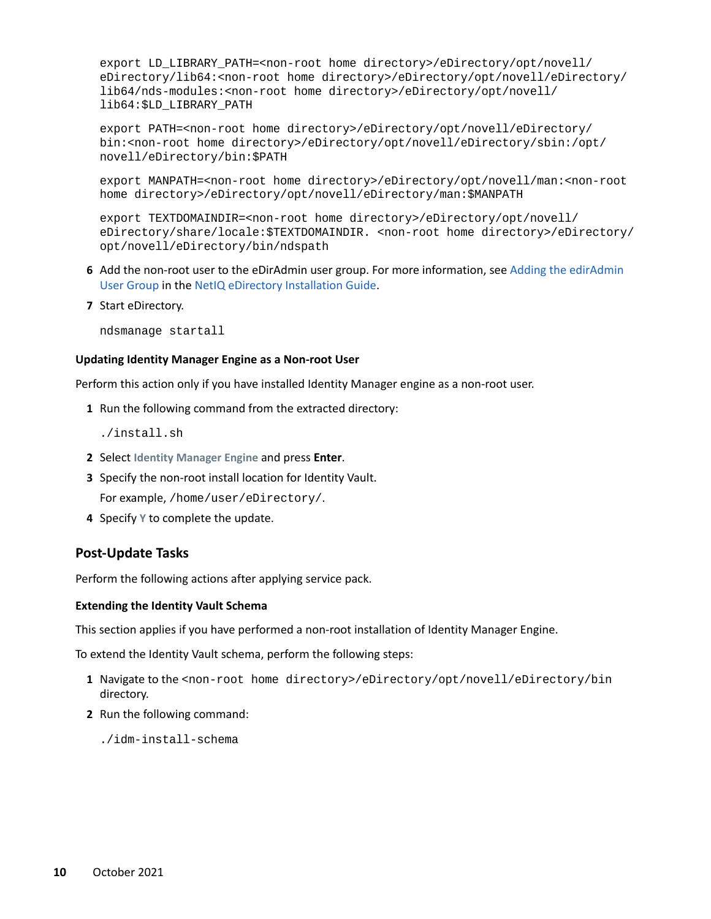export LD\_LIBRARY\_PATH=<non-root home directory>/eDirectory/opt/novell/ eDirectory/lib64:<non-root home directory>/eDirectory/opt/novell/eDirectory/ lib64/nds-modules:<non-root home directory>/eDirectory/opt/novell/ lib64:\$LD\_LIBRARY\_PATH

export PATH=<non-root home directory>/eDirectory/opt/novell/eDirectory/ bin:<non-root home directory>/eDirectory/opt/novell/eDirectory/sbin:/opt/ novell/eDirectory/bin:\$PATH

export MANPATH=<non-root home directory>/eDirectory/opt/novell/man:<non-root home directory>/eDirectory/opt/novell/eDirectory/man:\$MANPATH

export TEXTDOMAINDIR=<non-root home directory>/eDirectory/opt/novell/ eDirectory/share/locale:\$TEXTDOMAINDIR. <non-root home directory>/eDirectory/ opt/novell/eDirectory/bin/ndspath

- **6** Add the non-root user to the eDirAdmin user group. For more information, see [Adding the edirAdmin](https://www.netiq.com/documentation/edirectory-92/edir_install/data/t4g6f1uekq6m.html)  [User Group](https://www.netiq.com/documentation/edirectory-92/edir_install/data/t4g6f1uekq6m.html) in the [NetIQ eDirectory Installation Guide](https://www.netiq.com/documentation/edirectory-92/edir_install/data/bookinfo.html).
- **7** Start eDirectory.

ndsmanage startall

#### <span id="page-9-1"></span>**Updating Identity Manager Engine as a Non-root User**

Perform this action only if you have installed Identity Manager engine as a non-root user.

**1** Run the following command from the extracted directory:

./install.sh

- **2** Select **Identity Manager Engine** and press **Enter**.
- **3** Specify the non-root install location for Identity Vault. For example, /home/user/eDirectory/.
- **4** Specify **Y** to complete the update.

#### <span id="page-9-0"></span>**Post-Update Tasks**

Perform the following actions after applying service pack.

#### **Extending the Identity Vault Schema**

This section applies if you have performed a non-root installation of Identity Manager Engine.

To extend the Identity Vault schema, perform the following steps:

- **1** Navigate to the <non-root home directory>/eDirectory/opt/novell/eDirectory/bin directory.
- **2** Run the following command:
	- ./idm-install-schema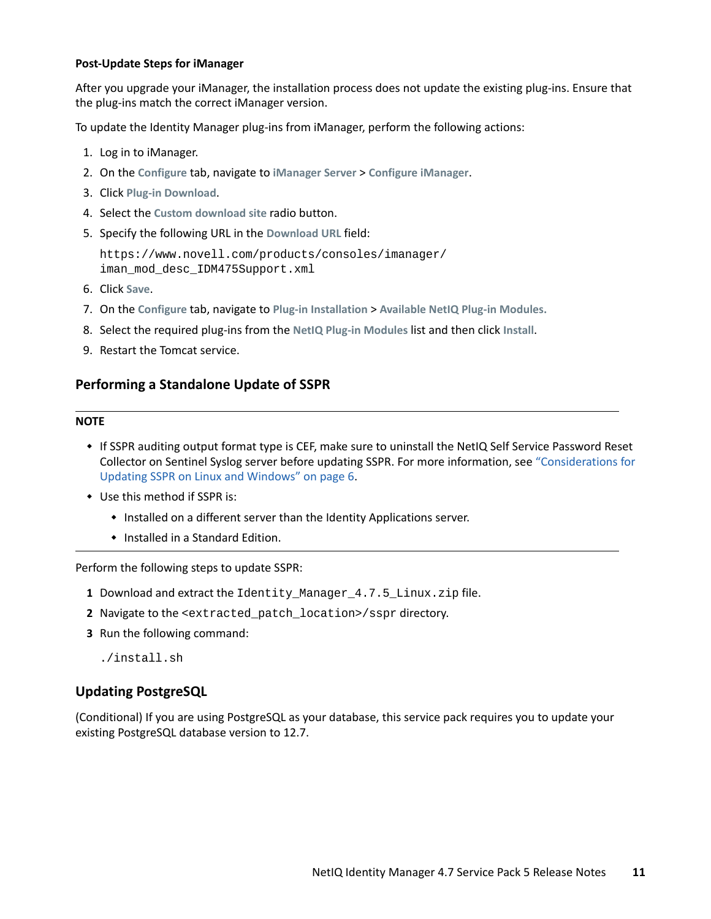#### **Post-Update Steps for iManager**

After you upgrade your iManager, the installation process does not update the existing plug-ins. Ensure that the plug-ins match the correct iManager version.

To update the Identity Manager plug-ins from iManager, perform the following actions:

- 1. Log in to iManager.
- 2. On the **Configure** tab, navigate to **iManager Server** > **Configure iManager**.
- 3. Click **Plug-in Download**.
- 4. Select the **Custom download site** radio button.
- 5. Specify the following URL in the **Download URL** field:

```
https://www.novell.com/products/consoles/imanager/
iman_mod_desc_IDM475Support.xml
```
- 6. Click **Save**.
- 7. On the **Configure** tab, navigate to **Plug-in Installation** > **Available NetIQ Plug-in Modules.**
- 8. Select the required plug-ins from the **NetIQ Plug-in Modules** list and then click **Install**.
- 9. Restart the Tomcat service.

#### <span id="page-10-0"></span>**Performing a Standalone Update of SSPR**

#### **NOTE**

- If SSPR auditing output format type is CEF, make sure to uninstall the NetIQ Self Service Password Reset Collector on Sentinel Syslog server before updating SSPR. For more information, see ["Considerations for](#page-5-0)  [Updating SSPR on Linux and Windows" on page 6](#page-5-0).
- Use this method if SSPR is:
	- Installed on a different server than the Identity Applications server.
	- Installed in a Standard Edition.

Perform the following steps to update SSPR:

- **1** Download and extract the Identity\_Manager\_4.7.5\_Linux.zip file.
- **2** Navigate to the <extracted\_patch\_location>/sspr directory.
- **3** Run the following command:

./install.sh

#### <span id="page-10-1"></span>**Updating PostgreSQL**

(Conditional) If you are using PostgreSQL as your database, this service pack requires you to update your existing PostgreSQL database version to 12.7.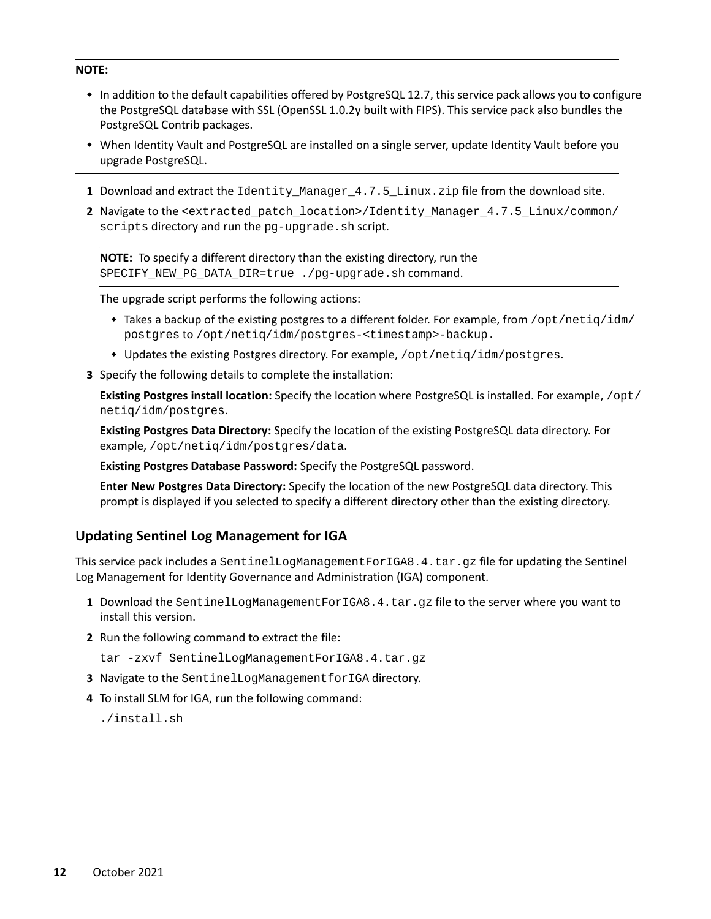#### **NOTE:**

- In addition to the default capabilities offered by PostgreSQL 12.7, this service pack allows you to configure the PostgreSQL database with SSL (OpenSSL 1.0.2y built with FIPS). This service pack also bundles the PostgreSQL Contrib packages.
- When Identity Vault and PostgreSQL are installed on a single server, update Identity Vault before you upgrade PostgreSQL.
- **1** Download and extract the Identity\_Manager\_4.7.5\_Linux.zip file from the download site.
- **2** Navigate to the <extracted\_patch\_location>/Identity\_Manager\_4.7.5\_Linux/common/ scripts directory and run the pg-upgrade.sh script.

**NOTE:** To specify a different directory than the existing directory, run the SPECIFY\_NEW\_PG\_DATA\_DIR=true ./pg-upgrade.sh command.

The upgrade script performs the following actions:

- Takes a backup of the existing postgres to a different folder. For example, from /opt/netiq/idm/ postgres to /opt/netiq/idm/postgres-<timestamp>-backup.
- $\bullet$  Updates the existing Postgres directory. For example, /opt/netig/idm/postgres.
- **3** Specify the following details to complete the installation:

**Existing Postgres install location:** Specify the location where PostgreSQL is installed. For example, /opt/ netiq/idm/postgres.

**Existing Postgres Data Directory:** Specify the location of the existing PostgreSQL data directory. For example, /opt/netiq/idm/postgres/data.

**Existing Postgres Database Password:** Specify the PostgreSQL password.

**Enter New Postgres Data Directory:** Specify the location of the new PostgreSQL data directory. This prompt is displayed if you selected to specify a different directory other than the existing directory.

# <span id="page-11-0"></span>**Updating Sentinel Log Management for IGA**

This service pack includes a SentinelLogManagementForIGA8.4.tar.gz file for updating the Sentinel Log Management for Identity Governance and Administration (IGA) component.

- **1** Download the SentinelLogManagementForIGA8.4.tar.gz file to the server where you want to install this version.
- **2** Run the following command to extract the file:

tar -zxvf SentinelLogManagementForIGA8.4.tar.gz

- **3** Navigate to the SentinelLogManagementforIGA directory.
- **4** To install SLM for IGA, run the following command:

./install.sh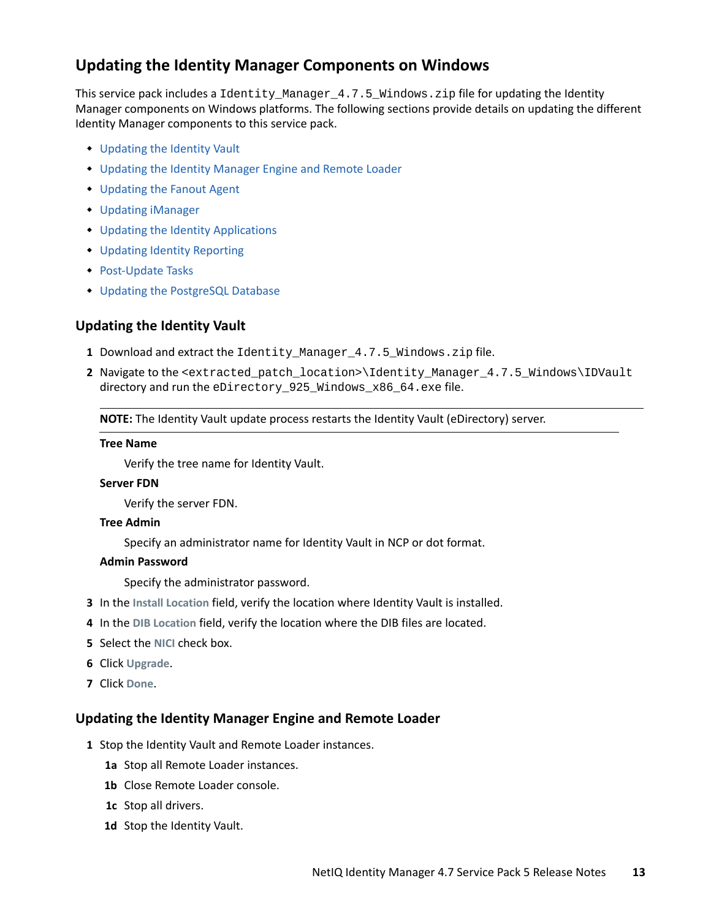# <span id="page-12-0"></span>**Updating the Identity Manager Components on Windows**

This service pack includes a Identity\_Manager\_4.7.5\_Windows.zip file for updating the Identity Manager components on Windows platforms. The following sections provide details on updating the different Identity Manager components to this service pack.

- [Updating the Identity Vault](#page-12-1)
- [Updating the Identity Manager Engine and Remote Loader](#page-12-2)
- [Updating the Fanout Agent](#page-13-0)
- [Updating iManager](#page-14-0)
- [Updating the Identity Applications](#page-15-0)
- [Updating Identity Reporting](#page-16-0)
- [Post-Update Tasks](#page-17-0)
- [Updating the PostgreSQL Database](#page-18-0)

# <span id="page-12-1"></span>**Updating the Identity Vault**

- **1** Download and extract the Identity\_Manager\_4.7.5\_Windows.zip file.
- **2** Navigate to the <extracted\_patch\_location>\Identity\_Manager\_4.7.5\_Windows\IDVault directory and run the eDirectory\_925\_Windows\_x86\_64.exe file.

**NOTE:** The Identity Vault update process restarts the Identity Vault (eDirectory) server.

#### **Tree Name**

Verify the tree name for Identity Vault.

#### **Server FDN**

Verify the server FDN.

#### **Tree Admin**

Specify an administrator name for Identity Vault in NCP or dot format.

#### **Admin Password**

Specify the administrator password.

- **3** In the **Install Location** field, verify the location where Identity Vault is installed.
- **4** In the **DIB Location** field, verify the location where the DIB files are located.
- **5** Select the **NICI** check box.
- **6** Click **Upgrade**.
- **7** Click **Done**.

#### <span id="page-12-2"></span>**Updating the Identity Manager Engine and Remote Loader**

- **1** Stop the Identity Vault and Remote Loader instances.
	- **1a** Stop all Remote Loader instances.
	- **1b** Close Remote Loader console.
	- **1c** Stop all drivers.
	- **1d** Stop the Identity Vault.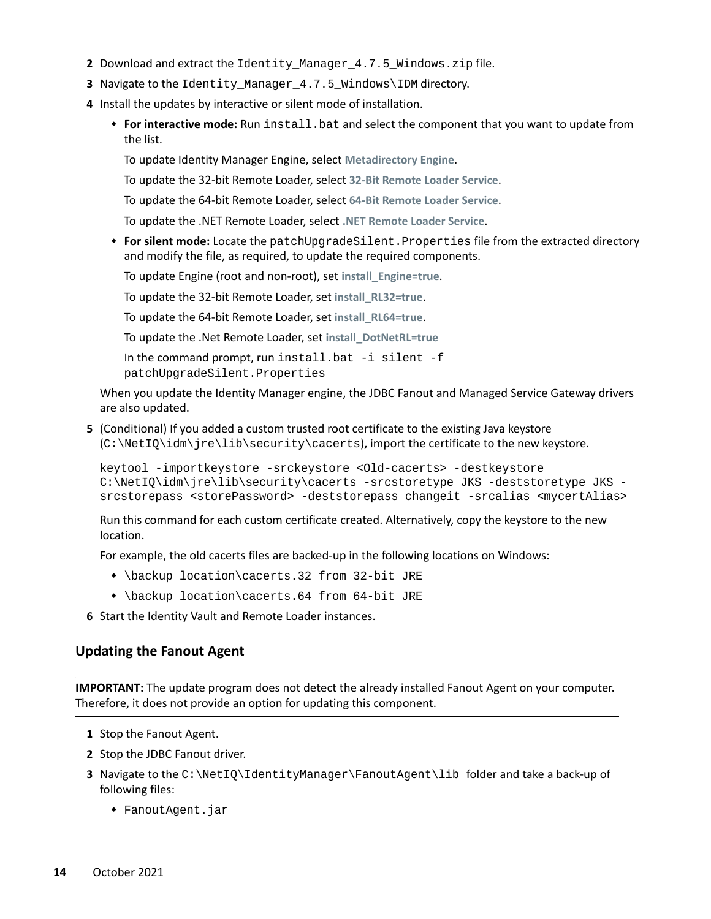- **2** Download and extract the Identity\_Manager\_4.7.5\_Windows.zip file.
- **3** Navigate to the Identity Manager 4.7.5 Windows\IDM directory.
- **4** Install the updates by interactive or silent mode of installation.
	- **For interactive mode:** Run install.bat and select the component that you want to update from the list.

To update Identity Manager Engine, select **Metadirectory Engine**.

To update the 32-bit Remote Loader, select **32-Bit Remote Loader Service**.

To update the 64-bit Remote Loader, select **64-Bit Remote Loader Service**.

To update the .NET Remote Loader, select **.NET Remote Loader Service**.

 **For silent mode:** Locate the patchUpgradeSilent.Properties file from the extracted directory and modify the file, as required, to update the required components.

To update Engine (root and non-root), set **install\_Engine=true**.

To update the 32-bit Remote Loader, set **install\_RL32=true**.

To update the 64-bit Remote Loader, set **install\_RL64=true**.

To update the .Net Remote Loader, set **install\_DotNetRL=true**

In the command prompt, run install.bat -i silent -f patchUpgradeSilent.Properties

When you update the Identity Manager engine, the JDBC Fanout and Managed Service Gateway drivers are also updated.

**5** (Conditional) If you added a custom trusted root certificate to the existing Java keystore (C:\NetIQ\idm\jre\lib\security\cacerts), import the certificate to the new keystore.

```
keytool -importkeystore -srckeystore <Old-cacerts> -destkeystore 
C:\NetIQ\idm\jre\lib\security\cacerts -srcstoretype JKS -deststoretype JKS -
srcstorepass <storePassword> -deststorepass changeit -srcalias <mycertAlias>
```
Run this command for each custom certificate created. Alternatively, copy the keystore to the new location.

For example, the old cacerts files are backed-up in the following locations on Windows:

- \backup location\cacerts.32 from 32-bit JRE
- \backup location\cacerts.64 from 64-bit JRE

**6** Start the Identity Vault and Remote Loader instances.

#### <span id="page-13-0"></span>**Updating the Fanout Agent**

**IMPORTANT:** The update program does not detect the already installed Fanout Agent on your computer. Therefore, it does not provide an option for updating this component.

- **1** Stop the Fanout Agent.
- **2** Stop the JDBC Fanout driver.
- **3** Navigate to the C:\NetIQ\IdentityManager\FanoutAgent\lib folder and take a back-up of following files:
	- FanoutAgent.jar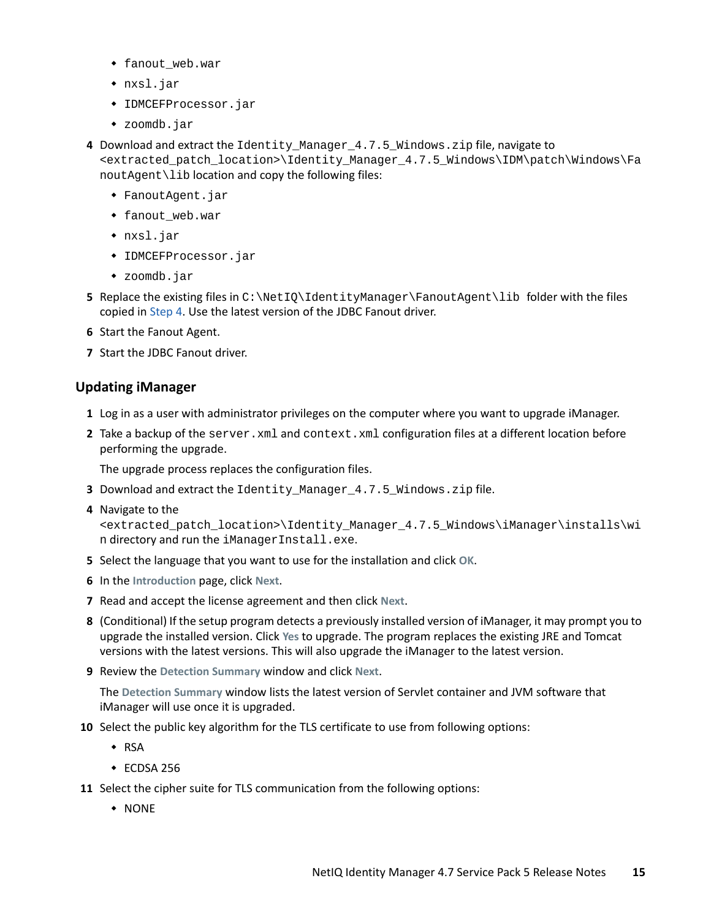- fanout web.war
- nxsl.jar
- IDMCEFProcessor.jar
- zoomdb.jar
- <span id="page-14-1"></span>**4** Download and extract the Identity\_Manager\_4.7.5\_Windows.zip file, navigate to <extracted\_patch\_location>\Identity\_Manager\_4.7.5\_Windows\IDM\patch\Windows\Fa noutAgent\lib location and copy the following files:
	- FanoutAgent.jar
	- fanout\_web.war
	- nxsl.jar
	- IDMCEFProcessor.jar
	- zoomdb.jar
- **5** Replace the existing files in C:\NetIQ\IdentityManager\FanoutAgent\lib folder with the files copied in [Step 4](#page-14-1). Use the latest version of the JDBC Fanout driver.
- **6** Start the Fanout Agent.
- **7** Start the JDBC Fanout driver.

#### <span id="page-14-0"></span>**Updating iManager**

- **1** Log in as a user with administrator privileges on the computer where you want to upgrade iManager.
- **2** Take a backup of the server.xml and context.xml configuration files at a different location before performing the upgrade.

The upgrade process replaces the configuration files.

- **3** Download and extract the Identity\_Manager\_4.7.5\_Windows.zip file.
- **4** Navigate to the

<extracted\_patch\_location>\Identity\_Manager\_4.7.5\_Windows\iManager\installs\wi n directory and run the iManagerInstall.exe.

- **5** Select the language that you want to use for the installation and click **OK**.
- **6** In the **Introduction** page, click **Next**.
- **7** Read and accept the license agreement and then click **Next**.
- **8** (Conditional) If the setup program detects a previously installed version of iManager, it may prompt you to upgrade the installed version. Click **Yes** to upgrade. The program replaces the existing JRE and Tomcat versions with the latest versions. This will also upgrade the iManager to the latest version.
- **9** Review the **Detection Summary** window and click **Next**.

The **Detection Summary** window lists the latest version of Servlet container and JVM software that iManager will use once it is upgraded.

- **10** Select the public key algorithm for the TLS certificate to use from following options:
	- RSA
	- ◆ ECDSA 256
- **11** Select the cipher suite for TLS communication from the following options:
	- NONE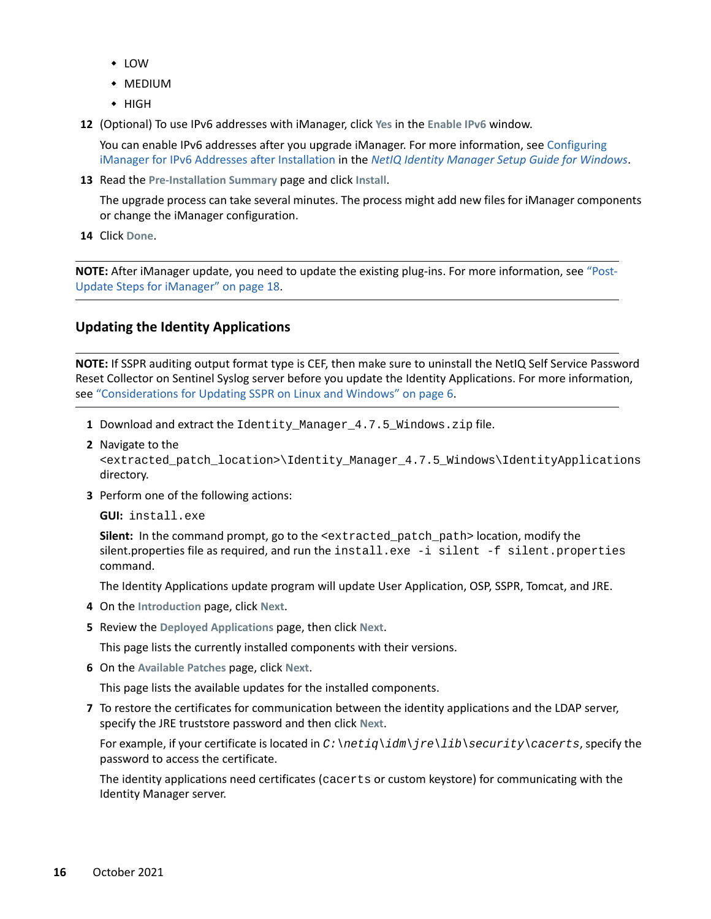- LOW
- MEDIUM
- $+$  HIGH
- **12** (Optional) To use IPv6 addresses with iManager, click **Yes** in the **Enable IPv6** window.

You can enable IPv6 addresses after you upgrade iManager. For more information, see [Configuring](https://www.netiq.com/documentation/identity-manager-47/pdfdoc/setup_windows/setup_windows.pdf#windowsconfigureimanageripv6addressafterinstall)  [iManager for IPv6 Addresses after Installation](https://www.netiq.com/documentation/identity-manager-47/pdfdoc/setup_windows/setup_windows.pdf#windowsconfigureimanageripv6addressafterinstall) in the *[NetIQ Identity Manager Setup Guide for Windows](https://www.netiq.com/documentation/identity-manager-47/pdfdoc/setup_windows/setup_windows.pdf#front)*.

**13** Read the **Pre-Installation Summary** page and click **Install**.

The upgrade process can take several minutes. The process might add new files for iManager components or change the iManager configuration.

**14** Click **Done**.

**NOTE:** After iManager update, you need to update the existing plug-ins. For more information, see ["Post-](#page-17-1)[Update Steps for iManager" on page 18.](#page-17-1)

#### <span id="page-15-0"></span>**Updating the Identity Applications**

**NOTE:** If SSPR auditing output format type is CEF, then make sure to uninstall the NetIQ Self Service Password Reset Collector on Sentinel Syslog server before you update the Identity Applications. For more information, see ["Considerations for Updating SSPR on Linux and Windows" on page](#page-5-0) 6.

- **1** Download and extract the Identity\_Manager\_4.7.5\_Windows.zip file.
- **2** Navigate to the <extracted\_patch\_location>\Identity\_Manager\_4.7.5\_Windows\IdentityApplications directory.
- **3** Perform one of the following actions:

**GUI:** install.exe

**Silent:** In the command prompt, go to the <extracted\_patch\_path> location, modify the silent.properties file as required, and run the install.exe -i silent -f silent.properties command.

The Identity Applications update program will update User Application, OSP, SSPR, Tomcat, and JRE.

- **4** On the **Introduction** page, click **Next**.
- **5** Review the **Deployed Applications** page, then click **Next**.

This page lists the currently installed components with their versions.

**6** On the **Available Patches** page, click **Next**.

This page lists the available updates for the installed components.

**7** To restore the certificates for communication between the identity applications and the LDAP server, specify the JRE truststore password and then click **Next**.

For example, if your certificate is located in *C:\netiq\idm\jre\lib\security\cacerts*, specify the password to access the certificate.

The identity applications need certificates (cacerts or custom keystore) for communicating with the Identity Manager server.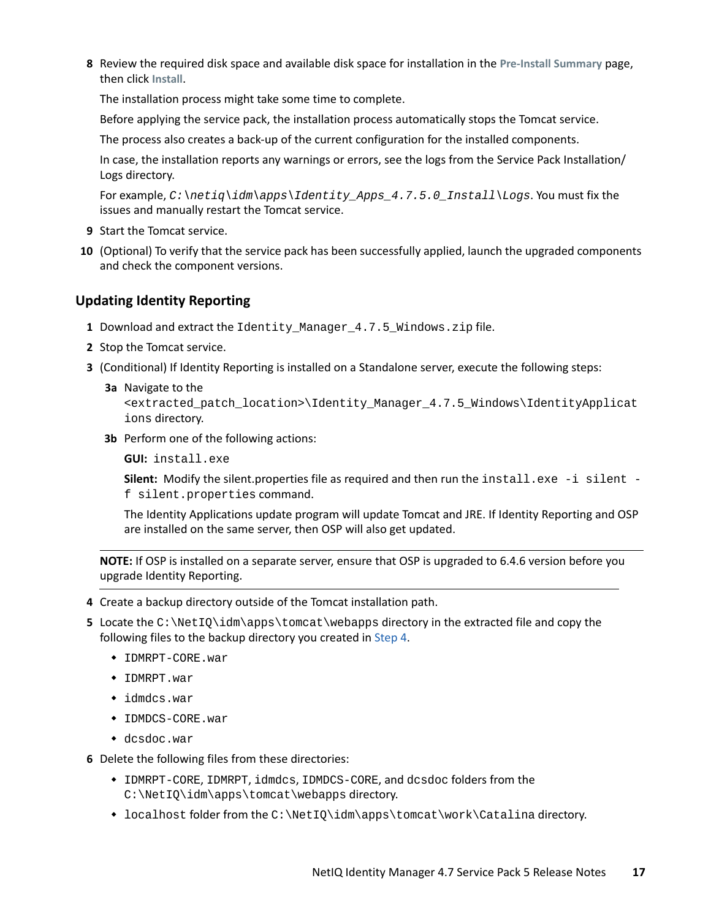**8** Review the required disk space and available disk space for installation in the **Pre-Install Summary** page, then click **Install**.

The installation process might take some time to complete.

Before applying the service pack, the installation process automatically stops the Tomcat service.

The process also creates a back-up of the current configuration for the installed components.

In case, the installation reports any warnings or errors, see the logs from the Service Pack Installation/ Logs directory.

For example, *C:\netiq\idm\apps\Identity\_Apps\_4.7.5.0\_Install\Logs*. You must fix the issues and manually restart the Tomcat service.

- **9** Start the Tomcat service.
- **10** (Optional) To verify that the service pack has been successfully applied, launch the upgraded components and check the component versions.

# <span id="page-16-0"></span>**Updating Identity Reporting**

- **1** Download and extract the Identity Manager 4.7.5 Windows.zip file.
- **2** Stop the Tomcat service.
- **3** (Conditional) If Identity Reporting is installed on a Standalone server, execute the following steps:
	- **3a** Navigate to the

<extracted\_patch\_location>\Identity\_Manager\_4.7.5\_Windows\IdentityApplicat ions directory.

**3b** Perform one of the following actions:

**GUI:** install.exe

**Silent:** Modify the silent.properties file as required and then run the install.exe -i silent f silent.properties command.

The Identity Applications update program will update Tomcat and JRE. If Identity Reporting and OSP are installed on the same server, then OSP will also get updated.

**NOTE:** If OSP is installed on a separate server, ensure that OSP is upgraded to 6.4.6 version before you upgrade Identity Reporting.

- <span id="page-16-1"></span>**4** Create a backup directory outside of the Tomcat installation path.
- **5** Locate the C:\NetIQ\idm\apps\tomcat\webapps directory in the extracted file and copy the following files to the backup directory you created in [Step 4.](#page-16-1)
	- IDMRPT-CORE.war
	- IDMRPT.war
	- idmdcs.war
	- IDMDCS-CORE.war
	- dcsdoc.war

**6** Delete the following files from these directories:

- IDMRPT-CORE, IDMRPT, idmdcs, IDMDCS-CORE, and dcsdoc folders from the C:\NetIQ\idm\apps\tomcat\webapps directory.
- localhost folder from the C:\NetIQ\idm\apps\tomcat\work\Catalina directory.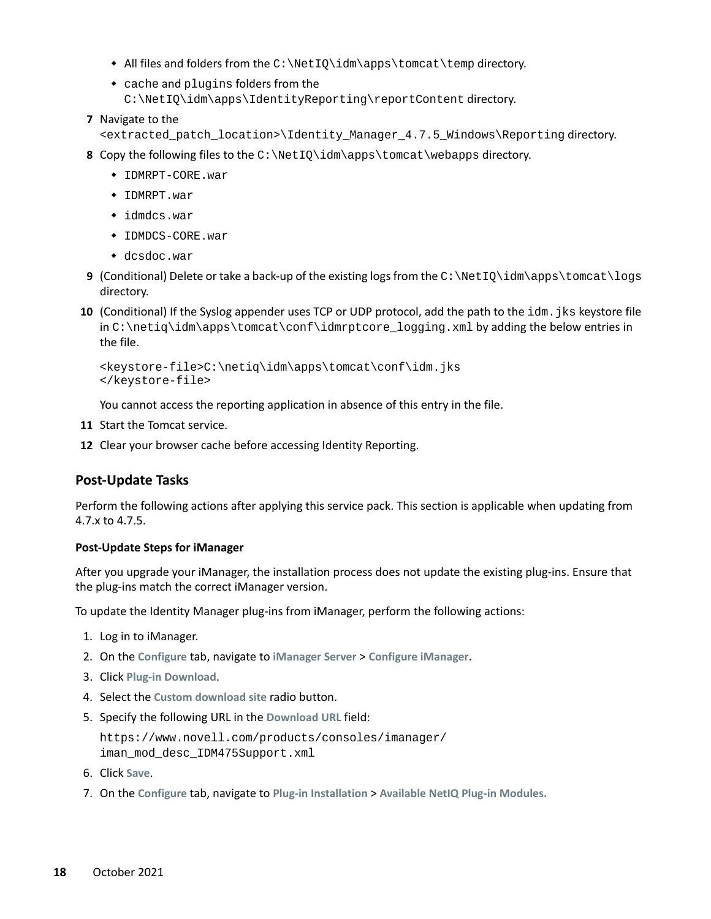- All files and folders from the C:\NetIQ\idm\apps\tomcat\temp directory.
- cache and plugins folders from the C:\NetIQ\idm\apps\IdentityReporting\reportContent directory.
- **7** Navigate to the

<extracted\_patch\_location>\Identity\_Manager\_4.7.5\_Windows\Reporting directory.

- **8** Copy the following files to the C:\NetIO\idm\apps\tomcat\webapps directory.
	- IDMRPT-CORE.war
	- IDMRPT.war
	- idmdcs.war
	- IDMDCS-CORE.war
	- dcsdoc.war
- **9** (Conditional) Delete or take a back-up of the existing logs from the C:\NetIO\idm\apps\tomcat\logs directory.
- **10** (Conditional) If the Syslog appender uses TCP or UDP protocol, add the path to the idm. jks keystore file in  $C:\netiq\idm\aps\tomcat\conf\idmrtcore\logim xm$  by adding the below entries in the file.

```
<keystore-file>C:\netiq\idm\apps\tomcat\conf\idm.jks
</keystore-file>
```
You cannot access the reporting application in absence of this entry in the file.

- **11** Start the Tomcat service.
- **12** Clear your browser cache before accessing Identity Reporting.

#### <span id="page-17-0"></span>**Post-Update Tasks**

Perform the following actions after applying this service pack. This section is applicable when updating from 4.7.x to 4.7.5.

#### <span id="page-17-1"></span>**Post-Update Steps for iManager**

After you upgrade your iManager, the installation process does not update the existing plug-ins. Ensure that the plug-ins match the correct iManager version.

To update the Identity Manager plug-ins from iManager, perform the following actions:

- 1. Log in to iManager.
- 2. On the **Configure** tab, navigate to **iManager Server** > **Configure iManager**.
- 3. Click **Plug-in Download**.
- 4. Select the **Custom download site** radio button.
- 5. Specify the following URL in the **Download URL** field:

https://www.novell.com/products/consoles/imanager/ iman\_mod\_desc\_IDM475Support.xml

- 6. Click **Save**.
- 7. On the **Configure** tab, navigate to **Plug-in Installation** > **Available NetIQ Plug-in Modules.**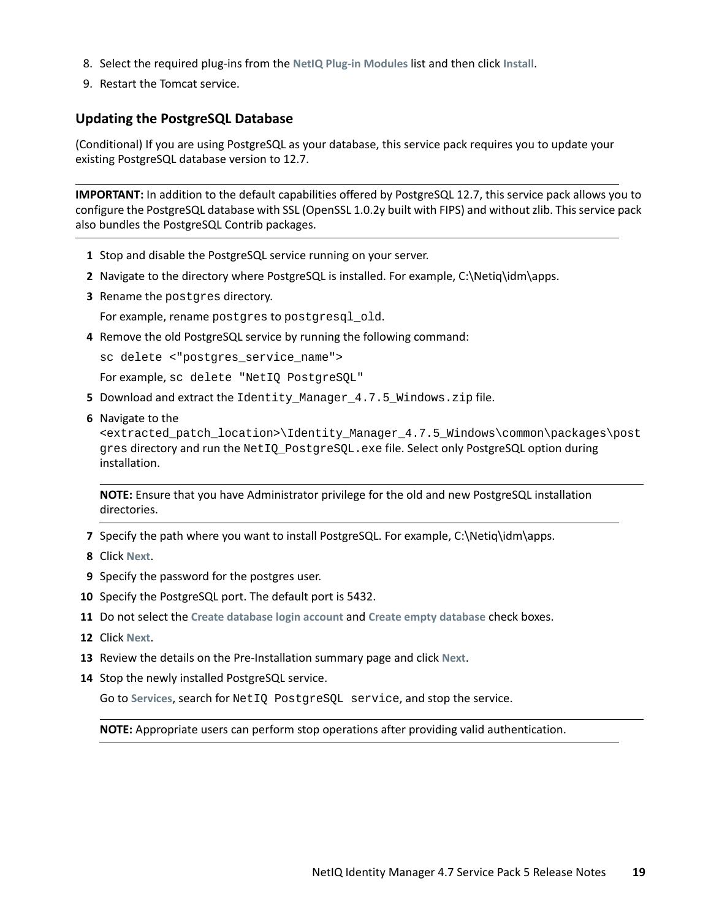- 8. Select the required plug-ins from the **NetIQ Plug-in Modules** list and then click **Install**.
- 9. Restart the Tomcat service.

# <span id="page-18-0"></span>**Updating the PostgreSQL Database**

(Conditional) If you are using PostgreSQL as your database, this service pack requires you to update your existing PostgreSQL database version to 12.7.

**IMPORTANT:** In addition to the default capabilities offered by PostgreSQL 12.7, this service pack allows you to configure the PostgreSQL database with SSL (OpenSSL 1.0.2y built with FIPS) and without zlib. This service pack also bundles the PostgreSQL Contrib packages.

- **1** Stop and disable the PostgreSQL service running on your server.
- **2** Navigate to the directory where PostgreSQL is installed. For example, C:\Netiq\idm\apps.
- **3** Rename the postgres directory.

For example, rename postgres to postgresql\_old.

**4** Remove the old PostgreSQL service by running the following command:

sc delete <"postgres\_service\_name">

For example, sc delete "NetIQ PostgreSQL"

- **5** Download and extract the Identity Manager 4.7.5 Windows.zip file.
- **6** Navigate to the

<extracted\_patch\_location>\Identity\_Manager\_4.7.5\_Windows\common\packages\post gres directory and run the NetIQ\_PostgreSQL.exe file. Select only PostgreSQL option during installation.

**NOTE:** Ensure that you have Administrator privilege for the old and new PostgreSQL installation directories.

- **7** Specify the path where you want to install PostgreSQL. For example, C:\Netiq\idm\apps.
- **8** Click **Next**.
- **9** Specify the password for the postgres user.
- **10** Specify the PostgreSQL port. The default port is 5432.
- **11** Do not select the **Create database login account** and **Create empty database** check boxes.
- **12** Click **Next**.
- **13** Review the details on the Pre-Installation summary page and click **Next**.
- **14** Stop the newly installed PostgreSQL service.

Go to **Services**, search for NetIQ PostgreSQL service, and stop the service.

**NOTE:** Appropriate users can perform stop operations after providing valid authentication.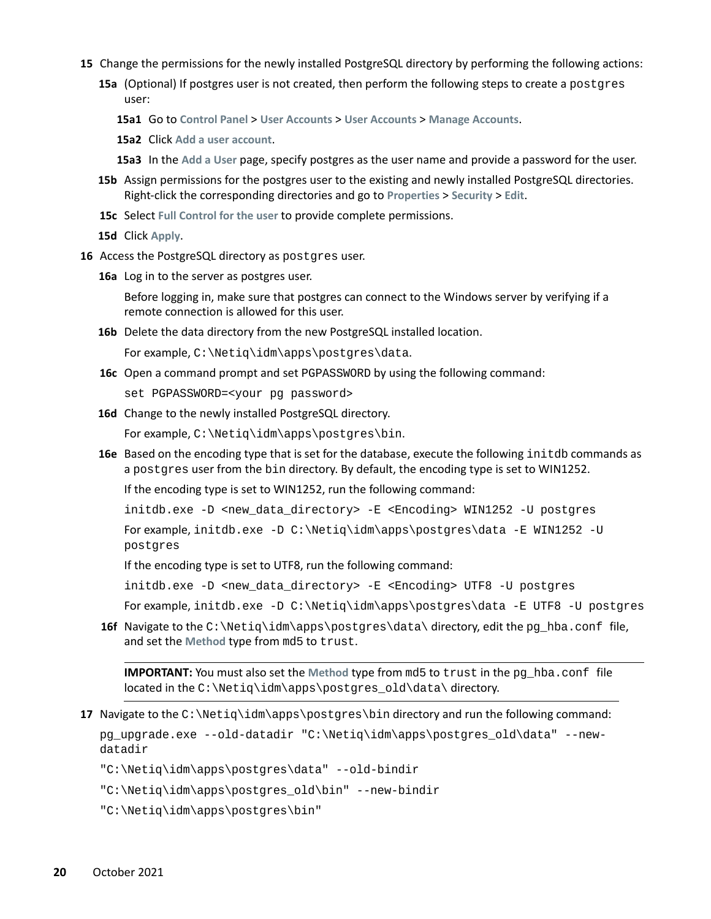- **15** Change the permissions for the newly installed PostgreSQL directory by performing the following actions:
	- **15a** (Optional) If postgres user is not created, then perform the following steps to create a postgres user:
		- **15a1** Go to **Control Panel** > **User Accounts** > **User Accounts** > **Manage Accounts**.
		- **15a2** Click **Add a user account**.
		- **15a3** In the **Add a User** page, specify postgres as the user name and provide a password for the user.
	- **15b** Assign permissions for the postgres user to the existing and newly installed PostgreSQL directories. Right-click the corresponding directories and go to **Properties** > **Security** > **Edit**.
	- **15c** Select **Full Control for the user** to provide complete permissions.
	- **15d** Click **Apply**.
- 16 Access the PostgreSQL directory as postgres user.
	- **16a** Log in to the server as postgres user.

Before logging in, make sure that postgres can connect to the Windows server by verifying if a remote connection is allowed for this user.

16b Delete the data directory from the new PostgreSQL installed location.

For example, C:\Netiq\idm\apps\postgres\data.

**16c** Open a command prompt and set PGPASSWORD by using the following command:

set PGPASSWORD=<your pg password>

**16d** Change to the newly installed PostgreSQL directory.

For example, C:\Netiq\idm\apps\postgres\bin.

16e Based on the encoding type that is set for the database, execute the following initdb commands as a postgres user from the bin directory. By default, the encoding type is set to WIN1252.

If the encoding type is set to WIN1252, run the following command:

```
initdb.exe -D <new_data_directory> -E <Encoding> WIN1252 -U postgres
```

```
For example, initdb.exe -D C:\Netiq\idm\apps\postgres\data -E WIN1252 -U 
postgres
```
If the encoding type is set to UTF8, run the following command:

initdb.exe -D <new\_data\_directory> -E <Encoding> UTF8 -U postgres

For example, initdb.exe -D C:\Netiq\idm\apps\postgres\data -E UTF8 -U postgres

**16f** Navigate to the C:\Netiq\idm\apps\postgres\data\ directory, edit the pg\_hba.conf file, and set the **Method** type from md5 to trust.

**IMPORTANT:** You must also set the Method type from md5 to trust in the pg\_hba.conf file located in the C:\Netiq\idm\apps\postgres\_old\data\ directory.

17 Navigate to the C:\Netiq\idm\apps\postgres\bin directory and run the following command:

```
pg_upgrade.exe --old-datadir "C:\Netiq\idm\apps\postgres_old\data" --new-
datadir
```

```
"C:\Netiq\idm\apps\postgres\data" --old-bindir
```

```
"C:\Netiq\idm\apps\postgres_old\bin" --new-bindir
```

```
"C:\Netiq\idm\apps\postgres\bin"
```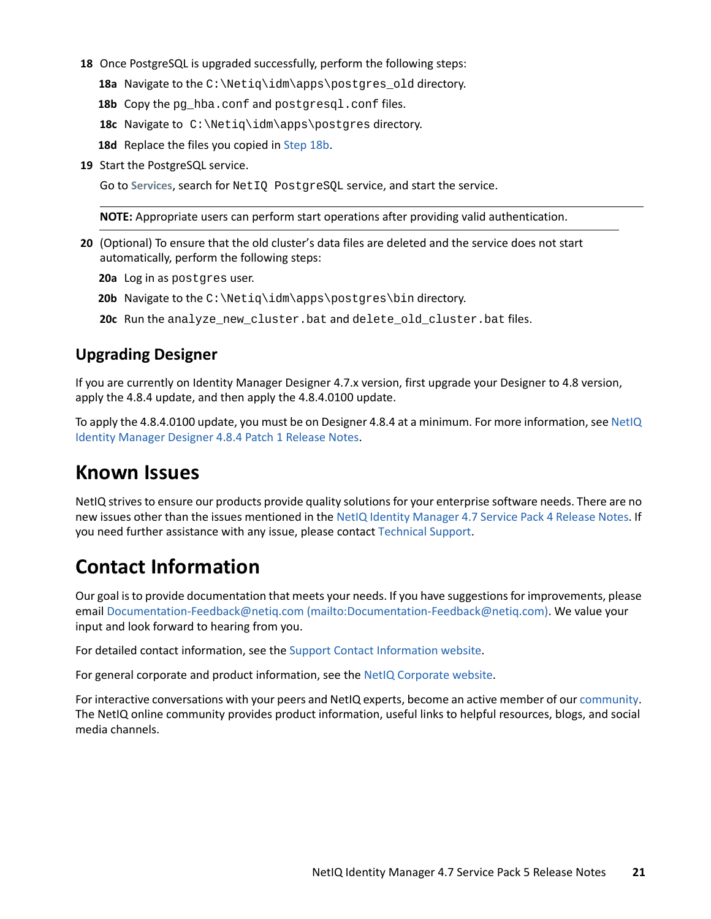- <span id="page-20-1"></span>**18** Once PostgreSQL is upgraded successfully, perform the following steps:
	- **18a** Navigate to the C:\Netiq\idm\apps\postgres old directory.
	- 18b Copy the pg\_hba.conf and postgresgl.conf files.
	- 18c Navigate to C:\Netiq\idm\apps\postgres directory.
	- **18d** Replace the files you copied in [Step 18b.](#page-20-1)
- **19** Start the PostgreSQL service.

Go to **Services**, search for NetIQ PostgreSQL service, and start the service.

**NOTE:** Appropriate users can perform start operations after providing valid authentication.

- **20** (Optional) To ensure that the old cluster's data files are deleted and the service does not start automatically, perform the following steps:
	- **20a** Log in as postgres user.
	- **20b** Navigate to the C:\Netiq\idm\apps\postgres\bin directory.
	- **20c** Run the analyze\_new\_cluster.bat and delete\_old\_cluster.bat files.

# <span id="page-20-0"></span>**Upgrading Designer**

If you are currently on Identity Manager Designer 4.7.x version, first upgrade your Designer to 4.8 version, apply the 4.8.4 update, and then apply the 4.8.4.0100 update.

To apply the 4.8.4.0100 update, you must be on Designer 4.8.4 at a minimum. For more information, see [NetIQ](https://www.netiq.com/documentation/identity-manager-48/pdfdoc/releasenotes_idm484_0100_designer/releasenotes_idm484_0100_designer.pdf#releasenotesidm472)  [Identity Manager Designer 4.8.4 Patch 1 Release Notes](https://www.netiq.com/documentation/identity-manager-48/pdfdoc/releasenotes_idm484_0100_designer/releasenotes_idm484_0100_designer.pdf#releasenotesidm472).

# **Known Issues**

NetIQ strives to ensure our products provide quality solutions for your enterprise software needs. There are no new issues other than the issues mentioned in the [NetIQ Identity Manager 4.7 Service Pack 4 Release Notes.](https://www.netiq.com/documentation/identity-manager-47/pdfdoc/releasenotes_idm474/releasenotes_idm474.pdf#releasenotesidm474) If you need further assistance with any issue, please contact [Technical Support.](https://www.microfocus.com/en-us/products/netiq/overview)

# **Contact Information**

Our goal is to provide documentation that meets your needs. If you have suggestions for improvements, please email [Documentation-Feedback@netiq.com](mailto:Documentation-Feedback@netiq.com) (mailto:Documentation-Feedback@netiq.com). We value your input and look forward to hearing from you.

For detailed contact information, see the [Support Contact Information website.](https://www.microfocus.com/support-and-services/technical-handbook/#phone)

For general corporate and product information, see the [NetIQ Corporate website](https://www.netiq.com/).

For interactive conversations with your peers and NetIQ experts, become an active member of our [community](https://www.netiq.com/communities/). The NetIQ online community provides product information, useful links to helpful resources, blogs, and social media channels.